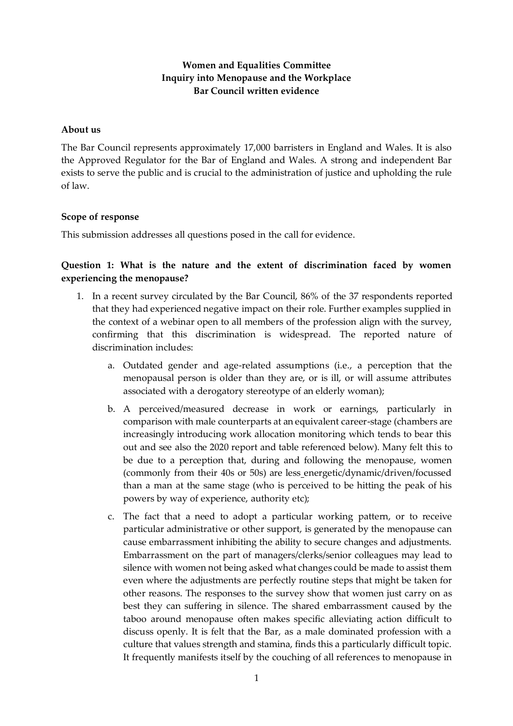# **Women and Equalities Committee Inquiry into Menopause and the Workplace Bar Council written evidence**

## **About us**

The Bar Council represents approximately 17,000 barristers in England and Wales. It is also the Approved Regulator for the Bar of England and Wales. A strong and independent Bar exists to serve the public and is crucial to the administration of justice and upholding the rule of law.

### **Scope of response**

This submission addresses all questions posed in the call for evidence.

# **Question 1: What is the nature and the extent of discrimination faced by women experiencing the menopause?**

- 1. In a recent survey circulated by the Bar Council, 86% of the 37 respondents reported that they had experienced negative impact on their role. Further examples supplied in the context of a webinar open to all members of the profession align with the survey, confirming that this discrimination is widespread. The reported nature of discrimination includes:
	- a. Outdated gender and age-related assumptions (i.e., a perception that the menopausal person is older than they are, or is ill, or will assume attributes associated with a derogatory stereotype of an elderly woman);
	- b. A perceived/measured decrease in work or earnings, particularly in comparison with male counterparts at an equivalent career-stage (chambers are increasingly introducing work allocation monitoring which tends to bear this out and see also the 2020 report and table referenced below). Many felt this to be due to a perception that, during and following the menopause, women (commonly from their 40s or 50s) are less energetic/dynamic/driven/focussed than a man at the same stage (who is perceived to be hitting the peak of his powers by way of experience, authority etc);
	- c. The fact that a need to adopt a particular working pattern, or to receive particular administrative or other support, is generated by the menopause can cause embarrassment inhibiting the ability to secure changes and adjustments. Embarrassment on the part of managers/clerks/senior colleagues may lead to silence with women not being asked what changes could be made to assist them even where the adjustments are perfectly routine steps that might be taken for other reasons. The responses to the survey show that women just carry on as best they can suffering in silence. The shared embarrassment caused by the taboo around menopause often makes specific alleviating action difficult to discuss openly. It is felt that the Bar, as a male dominated profession with a culture that values strength and stamina, finds this a particularly difficult topic. It frequently manifests itself by the couching of all references to menopause in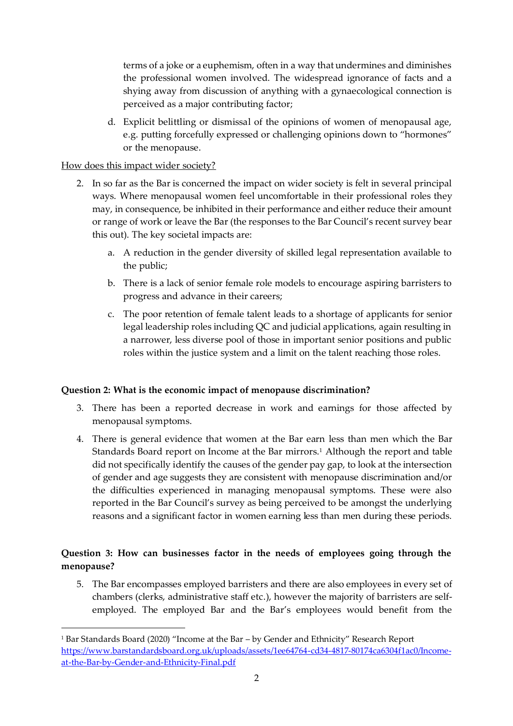terms of a joke or a euphemism, often in a way that undermines and diminishes the professional women involved. The widespread ignorance of facts and a shying away from discussion of anything with a gynaecological connection is perceived as a major contributing factor;

d. Explicit belittling or dismissal of the opinions of women of menopausal age, e.g. putting forcefully expressed or challenging opinions down to "hormones" or the menopause.

# How does this impact wider society?

- 2. In so far as the Bar is concerned the impact on wider society is felt in several principal ways. Where menopausal women feel uncomfortable in their professional roles they may, in consequence, be inhibited in their performance and either reduce their amount or range of work or leave the Bar (the responses to the Bar Council's recent survey bear this out). The key societal impacts are:
	- a. A reduction in the gender diversity of skilled legal representation available to the public;
	- b. There is a lack of senior female role models to encourage aspiring barristers to progress and advance in their careers;
	- c. The poor retention of female talent leads to a shortage of applicants for senior legal leadership roles including QC and judicial applications, again resulting in a narrower, less diverse pool of those in important senior positions and public roles within the justice system and a limit on the talent reaching those roles.

# **Question 2: What is the economic impact of menopause discrimination?**

- 3. There has been a reported decrease in work and earnings for those affected by menopausal symptoms.
- 4. There is general evidence that women at the Bar earn less than men which the Bar Standards Board report on Income at the Bar mirrors.<sup>1</sup> Although the report and table did not specifically identify the causes of the gender pay gap, to look at the intersection of gender and age suggests they are consistent with menopause discrimination and/or the difficulties experienced in managing menopausal symptoms. These were also reported in the Bar Council's survey as being perceived to be amongst the underlying reasons and a significant factor in women earning less than men during these periods.

# **Question 3: How can businesses factor in the needs of employees going through the menopause?**

5. The Bar encompasses employed barristers and there are also employees in every set of chambers (clerks, administrative staff etc.), however the majority of barristers are selfemployed. The employed Bar and the Bar's employees would benefit from the

<sup>1</sup> Bar Standards Board (2020) "Income at the Bar – by Gender and Ethnicity" Research Report [https://www.barstandardsboard.org.uk/uploads/assets/1ee64764-cd34-4817-80174ca6304f1ac0/Income](https://www.barstandardsboard.org.uk/uploads/assets/1ee64764-cd34-4817-80174ca6304f1ac0/Income-at-the-Bar-by-Gender-and-Ethnicity-Final.pdf)[at-the-Bar-by-Gender-and-Ethnicity-Final.pdf](https://www.barstandardsboard.org.uk/uploads/assets/1ee64764-cd34-4817-80174ca6304f1ac0/Income-at-the-Bar-by-Gender-and-Ethnicity-Final.pdf)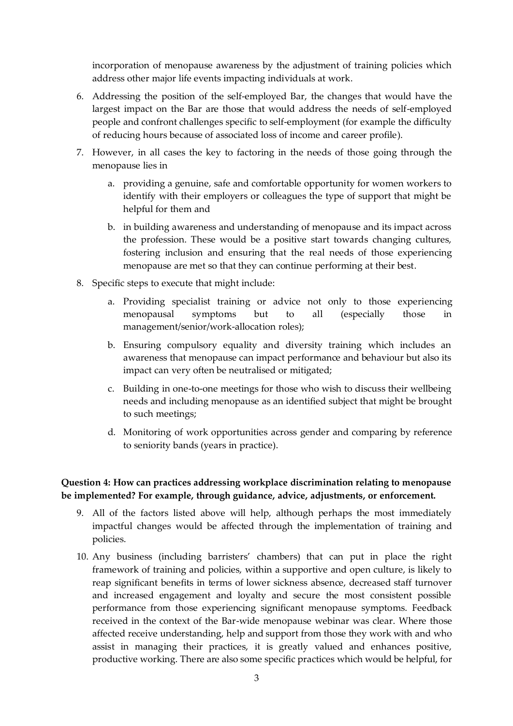incorporation of menopause awareness by the adjustment of training policies which address other major life events impacting individuals at work.

- 6. Addressing the position of the self-employed Bar, the changes that would have the largest impact on the Bar are those that would address the needs of self-employed people and confront challenges specific to self-employment (for example the difficulty of reducing hours because of associated loss of income and career profile).
- 7. However, in all cases the key to factoring in the needs of those going through the menopause lies in
	- a. providing a genuine, safe and comfortable opportunity for women workers to identify with their employers or colleagues the type of support that might be helpful for them and
	- b. in building awareness and understanding of menopause and its impact across the profession. These would be a positive start towards changing cultures, fostering inclusion and ensuring that the real needs of those experiencing menopause are met so that they can continue performing at their best.
- 8. Specific steps to execute that might include:
	- a. Providing specialist training or advice not only to those experiencing menopausal symptoms but to all (especially those in management/senior/work-allocation roles);
	- b. Ensuring compulsory equality and diversity training which includes an awareness that menopause can impact performance and behaviour but also its impact can very often be neutralised or mitigated;
	- c. Building in one-to-one meetings for those who wish to discuss their wellbeing needs and including menopause as an identified subject that might be brought to such meetings;
	- d. Monitoring of work opportunities across gender and comparing by reference to seniority bands (years in practice).

# **Question 4: How can practices addressing workplace discrimination relating to menopause be implemented? For example, through guidance, advice, adjustments, or enforcement.**

- 9. All of the factors listed above will help, although perhaps the most immediately impactful changes would be affected through the implementation of training and policies.
- 10. Any business (including barristers' chambers) that can put in place the right framework of training and policies, within a supportive and open culture, is likely to reap significant benefits in terms of lower sickness absence, decreased staff turnover and increased engagement and loyalty and secure the most consistent possible performance from those experiencing significant menopause symptoms. Feedback received in the context of the Bar-wide menopause webinar was clear. Where those affected receive understanding, help and support from those they work with and who assist in managing their practices, it is greatly valued and enhances positive, productive working. There are also some specific practices which would be helpful, for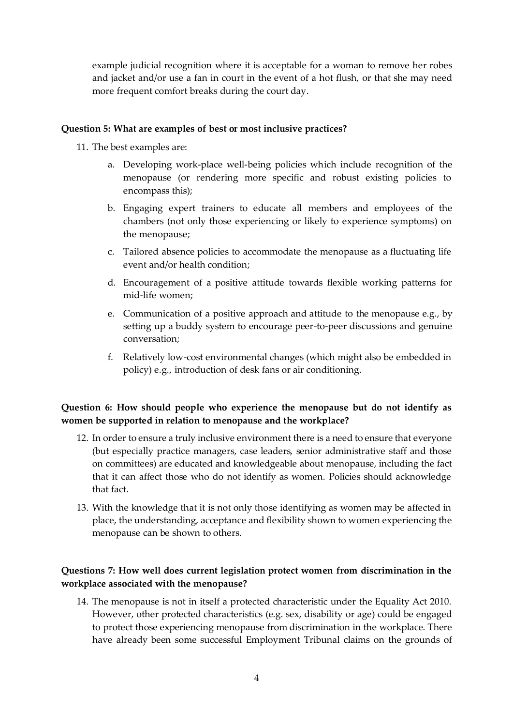example judicial recognition where it is acceptable for a woman to remove her robes and jacket and/or use a fan in court in the event of a hot flush, or that she may need more frequent comfort breaks during the court day.

#### **Question 5: What are examples of best or most inclusive practices?**

11. The best examples are:

- a. Developing work-place well-being policies which include recognition of the menopause (or rendering more specific and robust existing policies to encompass this);
- b. Engaging expert trainers to educate all members and employees of the chambers (not only those experiencing or likely to experience symptoms) on the menopause;
- c. Tailored absence policies to accommodate the menopause as a fluctuating life event and/or health condition;
- d. Encouragement of a positive attitude towards flexible working patterns for mid-life women;
- e. Communication of a positive approach and attitude to the menopause e.g., by setting up a buddy system to encourage peer-to-peer discussions and genuine conversation;
- f. Relatively low-cost environmental changes (which might also be embedded in policy) e.g., introduction of desk fans or air conditioning.

## **Question 6: How should people who experience the menopause but do not identify as women be supported in relation to menopause and the workplace?**

- 12. In order to ensure a truly inclusive environment there is a need to ensure that everyone (but especially practice managers, case leaders, senior administrative staff and those on committees) are educated and knowledgeable about menopause, including the fact that it can affect those who do not identify as women. Policies should acknowledge that fact.
- 13. With the knowledge that it is not only those identifying as women may be affected in place, the understanding, acceptance and flexibility shown to women experiencing the menopause can be shown to others.

# **Questions 7: How well does current legislation protect women from discrimination in the workplace associated with the menopause?**

14. The menopause is not in itself a protected characteristic under the Equality Act 2010. However, other protected characteristics (e.g. sex, disability or age) could be engaged to protect those experiencing menopause from discrimination in the workplace. There have already been some successful Employment Tribunal claims on the grounds of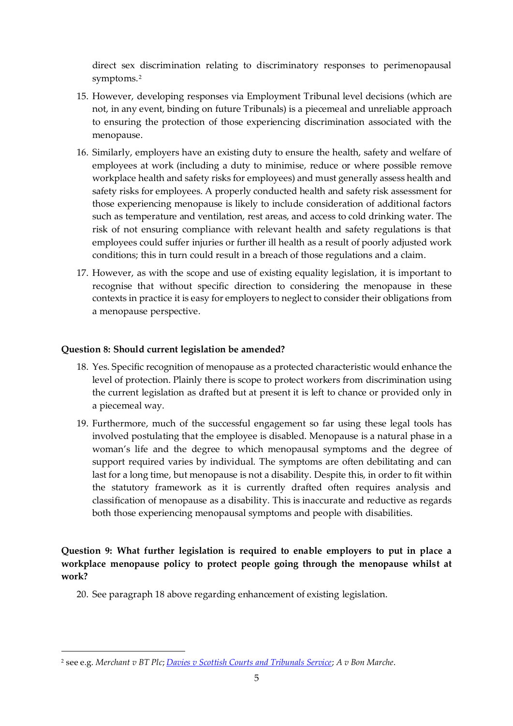direct sex discrimination relating to discriminatory responses to perimenopausal symptoms. 2

- 15. However, developing responses via Employment Tribunal level decisions (which are not, in any event, binding on future Tribunals) is a piecemeal and unreliable approach to ensuring the protection of those experiencing discrimination associated with the menopause.
- 16. Similarly, employers have an existing duty to ensure the health, safety and welfare of employees at work (including a duty to minimise, reduce or where possible remove workplace health and safety risks for employees) and must generally assess health and safety risks for employees. A properly conducted health and safety risk assessment for those experiencing menopause is likely to include consideration of additional factors such as temperature and ventilation, rest areas, and access to cold drinking water. The risk of not ensuring compliance with relevant health and safety regulations is that employees could suffer injuries or further ill health as a result of poorly adjusted work conditions; this in turn could result in a breach of those regulations and a claim.
- 17. However, as with the scope and use of existing equality legislation, it is important to recognise that without specific direction to considering the menopause in these contexts in practice it is easy for employers to neglect to consider their obligations from a menopause perspective.

# **Question 8: Should current legislation be amended?**

- 18. Yes. Specific recognition of menopause as a protected characteristic would enhance the level of protection. Plainly there is scope to protect workers from discrimination using the current legislation as drafted but at present it is left to chance or provided only in a piecemeal way.
- 19. Furthermore, much of the successful engagement so far using these legal tools has involved postulating that the employee is disabled. Menopause is a natural phase in a woman's life and the degree to which menopausal symptoms and the degree of support required varies by individual. The symptoms are often debilitating and can last for a long time, but menopause is not a disability. Despite this, in order to fit within the statutory framework as it is currently drafted often requires analysis and classification of menopause as a disability. This is inaccurate and reductive as regards both those experiencing menopausal symptoms and people with disabilities.

**Question 9: What further legislation is required to enable employers to put in place a workplace menopause policy to protect people going through the menopause whilst at work?**

20. See paragraph 18 above regarding enhancement of existing legislation.

<sup>2</sup> see e.g. *Merchant v BT Plc*; *[Davies v Scottish Courts and Tribunals Service](https://www.gov.uk/employment-tribunal-decisions/ms-m-davies-v-scottish-courts-and-tribunals-service-4104575-2017)*; *A v Bon Marche*.